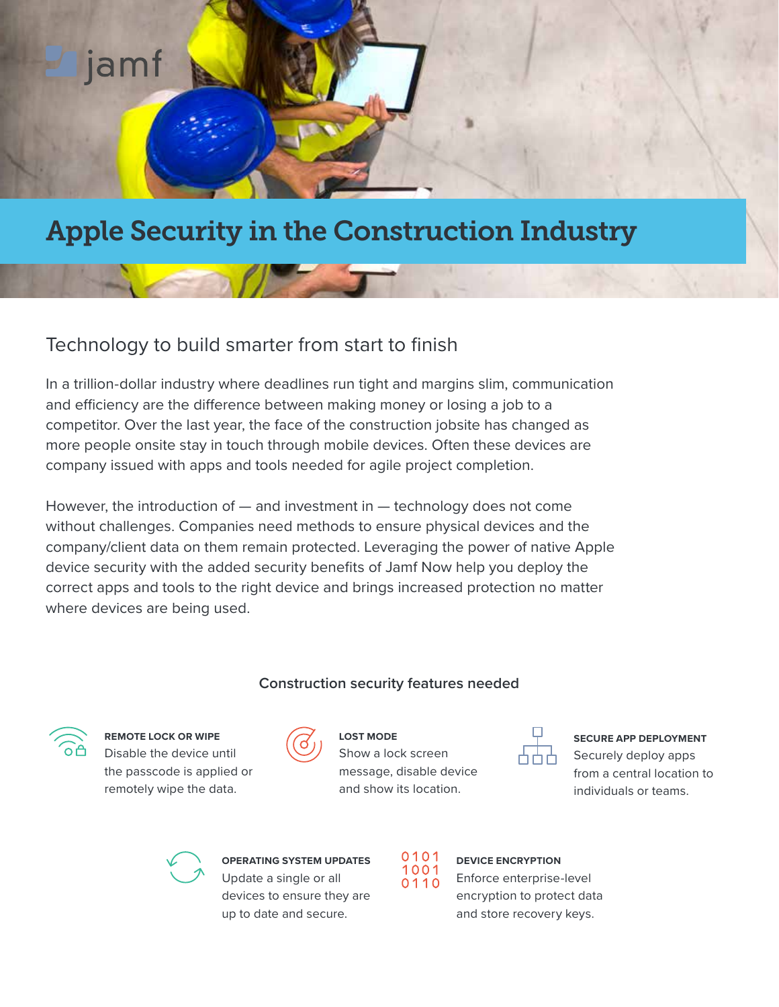

# Apple Security in the Construction Industry

# Technology to build smarter from start to finish

In a trillion-dollar industry where deadlines run tight and margins slim, communication and efficiency are the difference between making money or losing a job to a competitor. Over the last year, the face of the construction jobsite has changed as more people onsite stay in touch through mobile devices. Often these devices are company issued with apps and tools needed for agile project completion.

However, the introduction of — and investment in — technology does not come without challenges. Companies need methods to ensure physical devices and the company/client data on them remain protected. Leveraging the power of native Apple device security with the added security benefits of Jamf Now help you deploy the correct apps and tools to the right device and brings increased protection no matter where devices are being used.

#### **Construction security features needed**



**REMOTE LOCK OR WIPE** Disable the device until the passcode is applied or remotely wipe the data.



**LOST MODE**

Show a lock screen message, disable device and show its location.



**SECURE APP DEPLOYMENT** Securely deploy apps from a central location to individuals or teams.



**OPERATING SYSTEM UPDATES** Update a single or all devices to ensure they are up to date and secure.



#### **DEVICE ENCRYPTION** Enforce enterprise-level

encryption to protect data and store recovery keys.